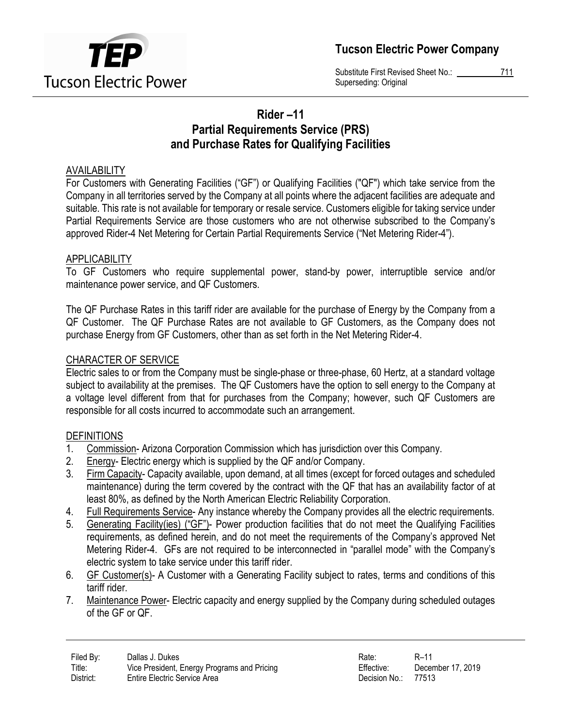

Substitute First Revised Sheet No.: 711 Superseding: Original

# Rider –11 Partial Requirements Service (PRS) and Purchase Rates for Qualifying Facilities

## AVAILABILITY

For Customers with Generating Facilities ("GF") or Qualifying Facilities ("QF") which take service from the Company in all territories served by the Company at all points where the adjacent facilities are adequate and suitable. This rate is not available for temporary or resale service. Customers eligible for taking service under Partial Requirements Service are those customers who are not otherwise subscribed to the Company's approved Rider-4 Net Metering for Certain Partial Requirements Service ("Net Metering Rider-4").

## **APPLICABILITY**

To GF Customers who require supplemental power, stand-by power, interruptible service and/or maintenance power service, and QF Customers.

The QF Purchase Rates in this tariff rider are available for the purchase of Energy by the Company from a QF Customer. The QF Purchase Rates are not available to GF Customers, as the Company does not purchase Energy from GF Customers, other than as set forth in the Net Metering Rider-4.

## CHARACTER OF SERVICE

Electric sales to or from the Company must be single-phase or three-phase, 60 Hertz, at a standard voltage subject to availability at the premises. The QF Customers have the option to sell energy to the Company at a voltage level different from that for purchases from the Company; however, such QF Customers are responsible for all costs incurred to accommodate such an arrangement.

#### **DEFINITIONS**

- 1. Commission- Arizona Corporation Commission which has jurisdiction over this Company.
- 2. Energy- Electric energy which is supplied by the QF and/or Company.
- 3. Firm Capacity- Capacity available, upon demand, at all times (except for forced outages and scheduled maintenance) during the term covered by the contract with the QF that has an availability factor of at least 80%, as defined by the North American Electric Reliability Corporation.
- 4. Full Requirements Service- Any instance whereby the Company provides all the electric requirements.
- 5. Generating Facility(ies) ("GF")- Power production facilities that do not meet the Qualifying Facilities requirements, as defined herein, and do not meet the requirements of the Company's approved Net Metering Rider-4. GFs are not required to be interconnected in "parallel mode" with the Company's electric system to take service under this tariff rider.
- 6. GF Customer(s)- A Customer with a Generating Facility subject to rates, terms and conditions of this tariff rider.
- 7. Maintenance Power- Electric capacity and energy supplied by the Company during scheduled outages of the GF or QF.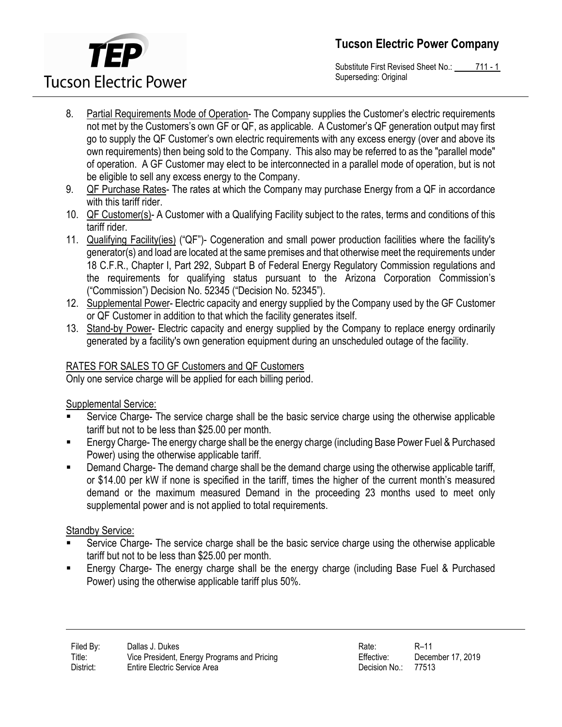

Substitute First Revised Sheet No.: 711 - 1 Superseding: Original

- 8. Partial Requirements Mode of Operation- The Company supplies the Customer's electric requirements not met by the Customers's own GF or QF, as applicable. A Customer's QF generation output may first go to supply the QF Customer's own electric requirements with any excess energy (over and above its own requirements) then being sold to the Company. This also may be referred to as the "parallel mode" of operation. A GF Customer may elect to be interconnected in a parallel mode of operation, but is not be eligible to sell any excess energy to the Company.
- 9. QF Purchase Rates- The rates at which the Company may purchase Energy from a QF in accordance with this tariff rider.
- 10. QF Customer(s)- A Customer with a Qualifying Facility subject to the rates, terms and conditions of this tariff rider.
- 11. Qualifying Facility(ies) ("QF")- Cogeneration and small power production facilities where the facility's generator(s) and load are located at the same premises and that otherwise meet the requirements under 18 C.F.R., Chapter I, Part 292, Subpart B of Federal Energy Regulatory Commission regulations and the requirements for qualifying status pursuant to the Arizona Corporation Commission's ("Commission") Decision No. 52345 ("Decision No. 52345").
- 12. Supplemental Power- Electric capacity and energy supplied by the Company used by the GF Customer or QF Customer in addition to that which the facility generates itself.
- 13. Stand-by Power- Electric capacity and energy supplied by the Company to replace energy ordinarily generated by a facility's own generation equipment during an unscheduled outage of the facility.

# RATES FOR SALES TO GF Customers and QF Customers

Only one service charge will be applied for each billing period.

#### Supplemental Service:

- Service Charge- The service charge shall be the basic service charge using the otherwise applicable tariff but not to be less than \$25.00 per month.
- Energy Charge- The energy charge shall be the energy charge (including Base Power Fuel & Purchased Power) using the otherwise applicable tariff.
- **Demand Charge- The demand charge shall be the demand charge using the otherwise applicable tariff,** or \$14.00 per kW if none is specified in the tariff, times the higher of the current month's measured demand or the maximum measured Demand in the proceeding 23 months used to meet only supplemental power and is not applied to total requirements.

# Standby Service:

- Service Charge- The service charge shall be the basic service charge using the otherwise applicable tariff but not to be less than \$25.00 per month.
- Energy Charge- The energy charge shall be the energy charge (including Base Fuel & Purchased Power) using the otherwise applicable tariff plus 50%.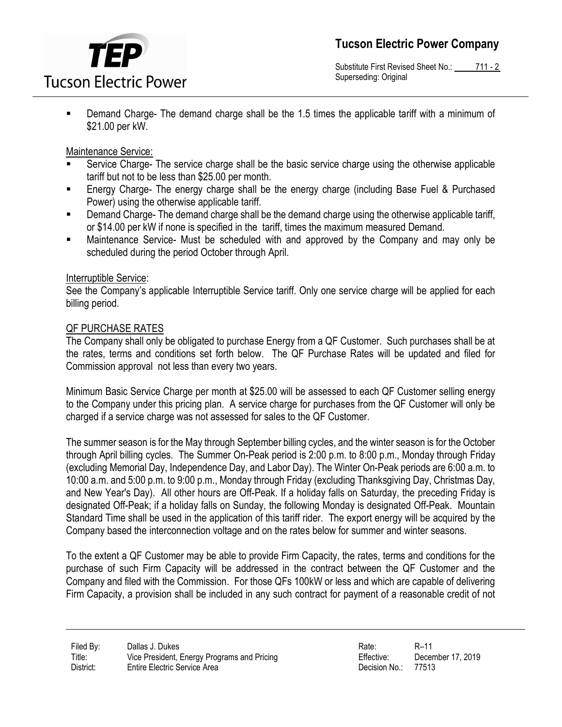

Substitute First Revised Sheet No.: 711 - 2 Superseding: Original

 Demand Charge- The demand charge shall be the 1.5 times the applicable tariff with a minimum of \$21.00 per kW.

#### Maintenance Service:

- Service Charge- The service charge shall be the basic service charge using the otherwise applicable tariff but not to be less than \$25.00 per month.
- Energy Charge- The energy charge shall be the energy charge (including Base Fuel & Purchased Power) using the otherwise applicable tariff.
- **Demand Charge- The demand charge shall be the demand charge using the otherwise applicable tariff,** or \$14.00 per kW if none is specified in the tariff, times the maximum measured Demand.
- Maintenance Service- Must be scheduled with and approved by the Company and may only be scheduled during the period October through April.

#### Interruptible Service:

See the Company's applicable Interruptible Service tariff. Only one service charge will be applied for each billing period.

#### QF PURCHASE RATES

The Company shall only be obligated to purchase Energy from a QF Customer. Such purchases shall be at the rates, terms and conditions set forth below. The QF Purchase Rates will be updated and filed for Commission approval not less than every two years.

Minimum Basic Service Charge per month at \$25.00 will be assessed to each QF Customer selling energy to the Company under this pricing plan. A service charge for purchases from the QF Customer will only be charged if a service charge was not assessed for sales to the QF Customer.

The summer season is for the May through September billing cycles, and the winter season is for the October through April billing cycles. The Summer On-Peak period is 2:00 p.m. to 8:00 p.m., Monday through Friday (excluding Memorial Day, Independence Day, and Labor Day). The Winter On-Peak periods are 6:00 a.m. to 10:00 a.m. and 5:00 p.m. to 9:00 p.m., Monday through Friday (excluding Thanksgiving Day, Christmas Day, and New Year's Day). All other hours are Off-Peak. If a holiday falls on Saturday, the preceding Friday is designated Off-Peak; if a holiday falls on Sunday, the following Monday is designated Off-Peak. Mountain Standard Time shall be used in the application of this tariff rider. The export energy will be acquired by the Company based the interconnection voltage and on the rates below for summer and winter seasons.

To the extent a QF Customer may be able to provide Firm Capacity, the rates, terms and conditions for the purchase of such Firm Capacity will be addressed in the contract between the QF Customer and the Company and filed with the Commission. For those QFs 100kW or less and which are capable of delivering Firm Capacity, a provision shall be included in any such contract for payment of a reasonable credit of not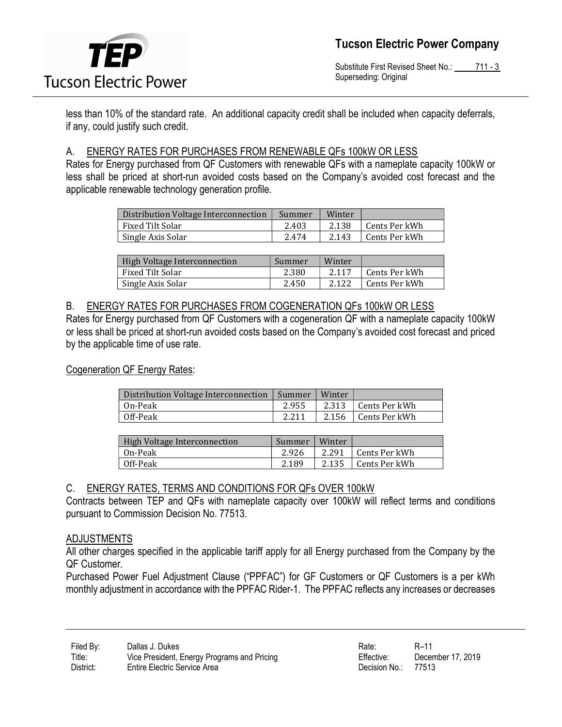

Substitute First Revised Sheet No.: 711 - 3 Superseding: Original

less than 10% of the standard rate. An additional capacity credit shall be included when capacity deferrals, if any, could justify such credit.

#### A. ENERGY RATES FOR PURCHASES FROM RENEWABLE QFs 100kW OR LESS

Rates for Energy purchased from QF Customers with renewable QFs with a nameplate capacity 100kW or less shall be priced at short-run avoided costs based on the Company's avoided cost forecast and the applicable renewable technology generation profile.

| Distribution Voltage Interconnection | Summer | Winter |                            |
|--------------------------------------|--------|--------|----------------------------|
| Fixed Tilt Solar                     | 2.403  | 2.138  | <sup>1</sup> Cents Per kWh |
| Single Axis Solar                    | 2.474  | 2.143  | Cents Per kWh              |

| High Voltage Interconnection | Summer | Winter |               |
|------------------------------|--------|--------|---------------|
| Fixed Tilt Solar             | 2.380  | 2.117  | Cents Per kWh |
| Single Axis Solar            | 2.450  | 2.122  | Cents Per kWh |

#### B. ENERGY RATES FOR PURCHASES FROM COGENERATION QFs 100kW OR LESS

Rates for Energy purchased from QF Customers with a cogeneration QF with a nameplate capacity 100kW or less shall be priced at short-run avoided costs based on the Company's avoided cost forecast and priced by the applicable time of use rate.

#### Cogeneration QF Energy Rates:

| Distribution Voltage Interconnection | Summer | Winter |                     |
|--------------------------------------|--------|--------|---------------------|
| On-Peak                              | 2.955  | 2.313  | Cents Per kWh       |
| Off-Peak                             | 2.211  |        | 2.156 Cents Per kWh |

| High Voltage Interconnection | Summer | Winter |                     |
|------------------------------|--------|--------|---------------------|
| On-Peak                      | 2.926  | 2.291  | ∣ Cents Per kWh     |
| Off-Peak                     | 2.189  |        | 2.135 Cents Per kWh |

#### C. ENERGY RATES, TERMS AND CONDITIONS FOR QFs OVER 100kW

Contracts between TEP and QFs with nameplate capacity over 100kW will reflect terms and conditions pursuant to Commission Decision No. 77513.

#### ADJUSTMENTS

All other charges specified in the applicable tariff apply for all Energy purchased from the Company by the QF Customer.

Purchased Power Fuel Adjustment Clause ("PPFAC") for GF Customers or QF Customers is a per kWh monthly adjustment in accordance with the PPFAC Rider-1. The PPFAC reflects any increases or decreases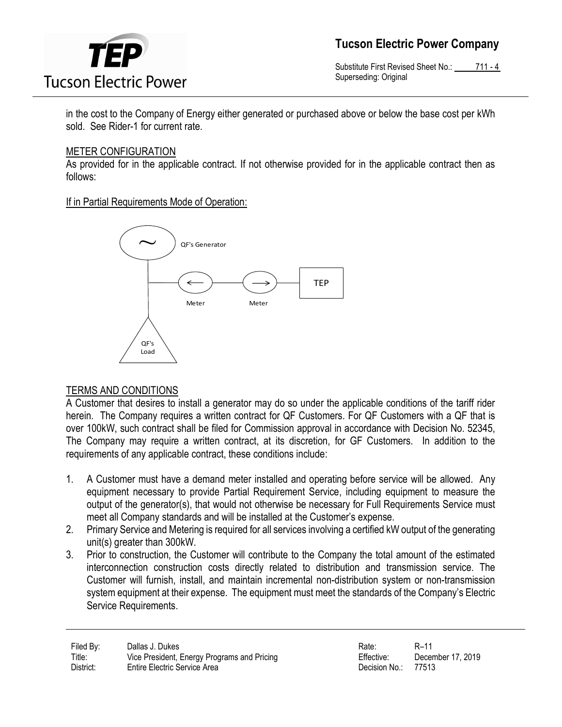

Tucson Electric Power Company

Substitute First Revised Sheet No.: 711 - 4 Superseding: Original

in the cost to the Company of Energy either generated or purchased above or below the base cost per kWh sold. See Rider-1 for current rate.

#### METER CONFIGURATION

As provided for in the applicable contract. If not otherwise provided for in the applicable contract then as follows:

If in Partial Requirements Mode of Operation:



#### TERMS AND CONDITIONS

A Customer that desires to install a generator may do so under the applicable conditions of the tariff rider herein. The Company requires a written contract for QF Customers. For QF Customers with a QF that is over 100kW, such contract shall be filed for Commission approval in accordance with Decision No. 52345, The Company may require a written contract, at its discretion, for GF Customers. In addition to the requirements of any applicable contract, these conditions include:

- 1. A Customer must have a demand meter installed and operating before service will be allowed. Any equipment necessary to provide Partial Requirement Service, including equipment to measure the output of the generator(s), that would not otherwise be necessary for Full Requirements Service must meet all Company standards and will be installed at the Customer's expense.
- 2. Primary Service and Metering is required for all services involving a certified kW output of the generating unit(s) greater than 300kW.
- 3. Prior to construction, the Customer will contribute to the Company the total amount of the estimated interconnection construction costs directly related to distribution and transmission service. The Customer will furnish, install, and maintain incremental non-distribution system or non-transmission system equipment at their expense. The equipment must meet the standards of the Company's Electric Service Requirements.